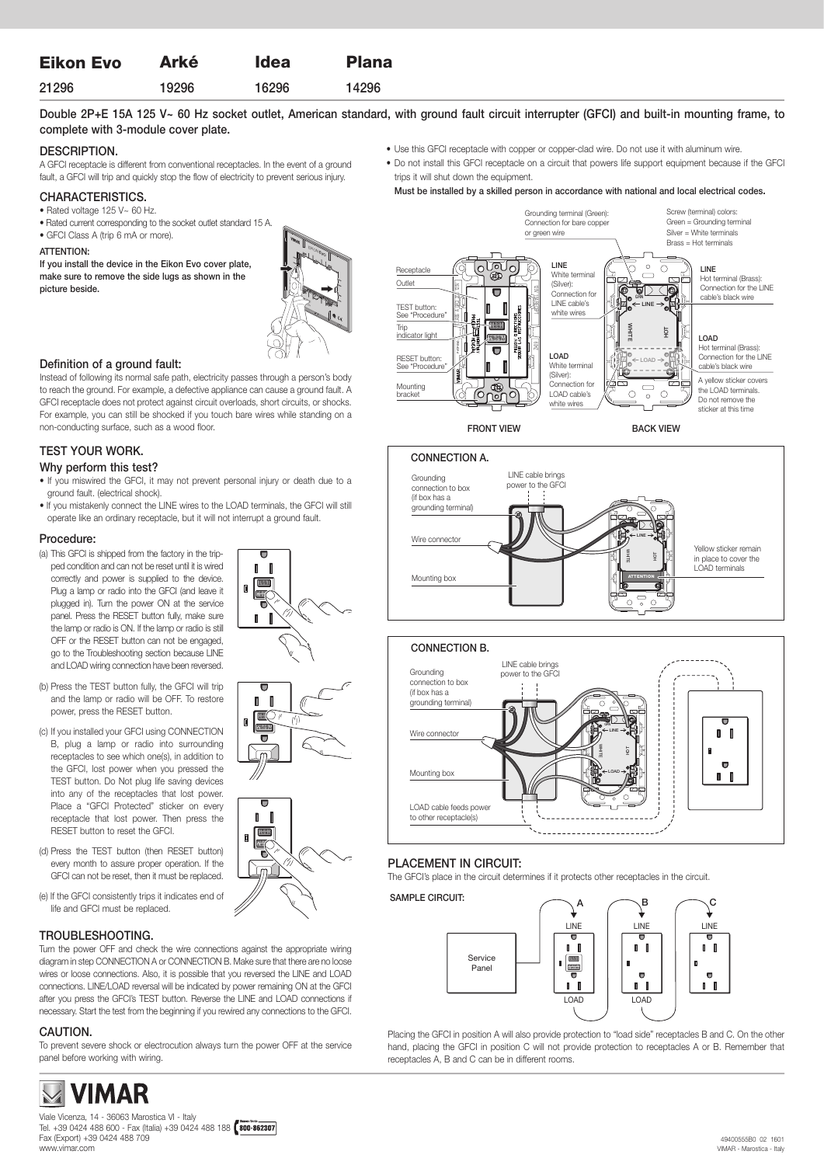| <b>Eikon Evo</b> | <b>Arké</b> | <b>Idea</b> | <b>Plana</b> |
|------------------|-------------|-------------|--------------|
| 21296            | 19296       | 16296       | 14296        |

# Double 2P+E 15A 125 V~ 60 Hz socket outlet, American standard, with ground fault circuit interrupter (GFCI) and built-in mounting frame, to complete with 3-module cover plate.

### DESCRIPTION.

A GFCI receptacle is different from conventional receptacles. In the event of a ground fault, a GFCI will trip and quickly stop the flow of electricity to prevent serious injury.

### CHARACTERISTICS.

#### • Rated voltage 125 V~ 60 Hz.

- Rated current corresponding to the socket outlet standard 15 A.
- GFCI Class A (trip 6 mA or more).

#### ATTENTION:

If you install the device in the Eikon Evo cover plate, make sure to remove the side lugs as shown in the picture beside.



#### Definition of a ground fault:

Instead of following its normal safe path, electricity passes through a person's body to reach the ground. For example, a defective appliance can cause a ground fault. A GFCI receptacle does not protect against circuit overloads, short circuits, or shocks. For example, you can still be shocked if you touch bare wires while standing on a non-conducting surface, such as a wood floor.

# TEST YOUR WORK.

#### Why perform this test?

- If you miswired the GFCI, it may not prevent personal injury or death due to a ground fault. (electrical shock).
- If you mistakenly connect the LINE wires to the LOAD terminals, the GFCI will still operate like an ordinary receptacle, but it will not interrupt a ground fault.

#### Procedure:

- (a) This GFCI is shipped from the factory in the tripped condition and can not be reset until it is wired correctly and power is supplied to the device. Plug a lamp or radio into the GFCI (and leave it plugged in). Turn the power ON at the service panel. Press the RESET button fully, make sure the lamp or radio is ON. If the lamp or radio is still OFF or the RESET button can not be engaged, go to the Troubleshooting section because LINE and LOAD wiring connection have been reversed.
- (b) Press the TEST button fully, the GFCI will trip and the lamp or radio will be OFF. To restore power, press the RESET button.
- (c) If you installed your GFCI using CONNECTION B, plug a lamp or radio into surrounding receptacles to see which one(s), in addition to the GFCI, lost power when you pressed the TEST button. Do Not plug life saving devices into any of the receptacles that lost power. Place a "GFCI Protected" sticker on every receptacle that lost power. Then press the RESET button to reset the GFCI.
- (d) Press the TEST button (then RESET button) every month to assure proper operation. If the GFCI can not be reset, then it must be replaced.
- (e) If the GFCI consistently trips it indicates end of life and GFCI must be replaced.

## TROUBLESHOOTING.

Turn the power OFF and check the wire connections against the appropriate wiring diagram in step CONNECTION A or CONNECTION B. Make sure that there are no loose wires or loose connections. Also, it is possible that you reversed the LINE and LOAD connections. LINE/LOAD reversal will be indicated by power remaining ON at the GFCI after you press the GFCI's TEST button. Reverse the LINE and LOAD connections if necessary. Start the test from the beginning if you rewired any connections to the GFCI.

## CAUTION.

To prevent severe shock or electrocution always turn the power OFF at the service panel before working with wiring.

- Use this GFCI receptacle with copper or copper-clad wire. Do not use it with aluminum wire.
- Do not install this GFCI receptacle on a circuit that powers life support equipment because if the GFCI trips it will shut down the equipment.
- Must be installed by a skilled person in accordance with national and local electrical codes. Grounding terminal (Green): Screw (terminal) colors: Green = Grounding terminal Connection for bare copper Silver = White terminals or green wire Brass = Hot terminals LINE  $\sum_{i=1}^{n}$  $\overline{\circ}$  $\overline{c}$ LINE Receptacl White terminal ŌТ Hot terminal (Brass): Outlet (Silver):



FRONT VIEW BACK VIEW





# PLACEMENT IN CIRCUIT:

The GFCI's place in the circuit determines if it protects other receptacles in the circuit.

SAMPLE CIRCUIT:



Placing the GFCI in position A will also provide protection to "load side" receptacles B and C. On the other hand, placing the GFCI in position C will not provide protection to receptacles A or B. Remember that receptacles A, B and C can be in different rooms.



Viale Vicenza, 14 - 36063 Marostica VI - Italy Tel. +39 0424 488 600 - Fax (Italia) +39 0424 488 188 Fax (Export) +39 0424 488 709 www.vimar.com